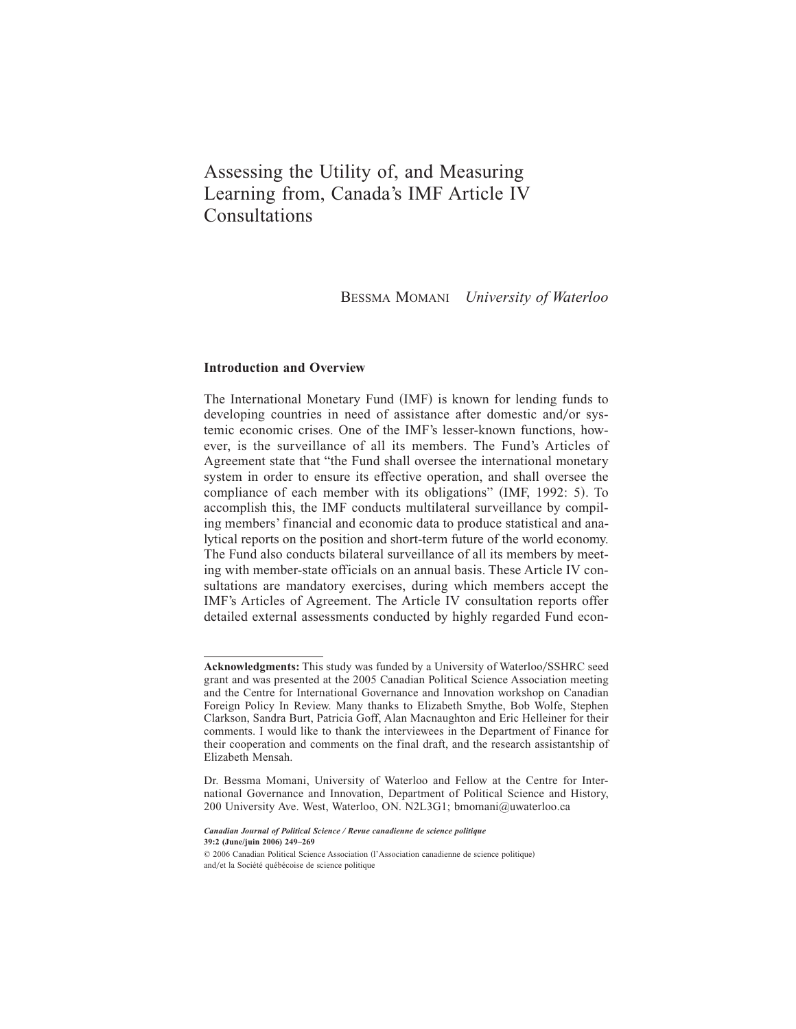# Assessing the Utility of, and Measuring Learning from, Canada's IMF Article IV **Consultations**

BESSMA MOMANI *University of Waterloo*

## **Introduction and Overview**

The International Monetary Fund (IMF) is known for lending funds to developing countries in need of assistance after domestic and/or systemic economic crises. One of the IMF's lesser-known functions, however, is the surveillance of all its members. The Fund's Articles of Agreement state that "the Fund shall oversee the international monetary system in order to ensure its effective operation, and shall oversee the compliance of each member with its obligations" (IMF, 1992: 5). To accomplish this, the IMF conducts multilateral surveillance by compiling members' financial and economic data to produce statistical and analytical reports on the position and short-term future of the world economy. The Fund also conducts bilateral surveillance of all its members by meeting with member-state officials on an annual basis. These Article IV consultations are mandatory exercises, during which members accept the IMF's Articles of Agreement. The Article IV consultation reports offer detailed external assessments conducted by highly regarded Fund econ-

**Acknowledgments:** This study was funded by a University of Waterloo/SSHRC seed grant and was presented at the 2005 Canadian Political Science Association meeting and the Centre for International Governance and Innovation workshop on Canadian Foreign Policy In Review. Many thanks to Elizabeth Smythe, Bob Wolfe, Stephen Clarkson, Sandra Burt, Patricia Goff, Alan Macnaughton and Eric Helleiner for their comments. I would like to thank the interviewees in the Department of Finance for their cooperation and comments on the final draft, and the research assistantship of Elizabeth Mensah.

Dr. Bessma Momani, University of Waterloo and Fellow at the Centre for International Governance and Innovation, Department of Political Science and History, 200 University Ave. West, Waterloo, ON. N2L3G1; bmomani@uwaterloo.ca

<sup>© 2006</sup> Canadian Political Science Association (l'Association canadienne de science politique) and/et la Société québécoise de science politique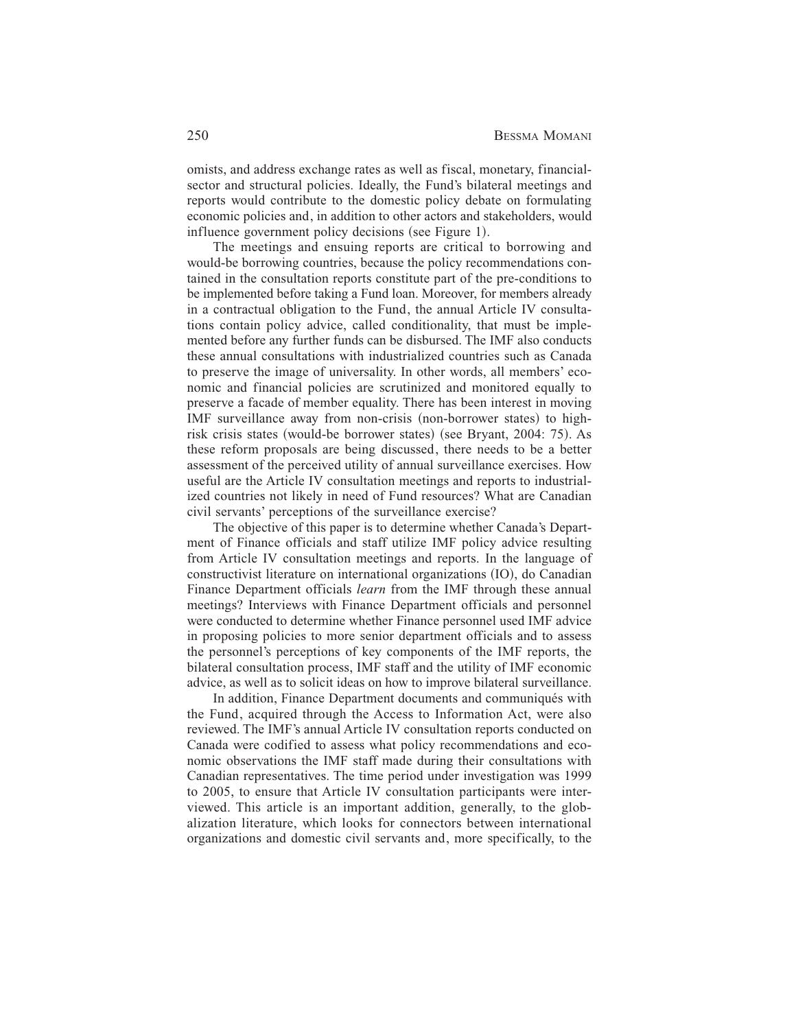omists, and address exchange rates as well as fiscal, monetary, financialsector and structural policies. Ideally, the Fund's bilateral meetings and reports would contribute to the domestic policy debate on formulating economic policies and, in addition to other actors and stakeholders, would influence government policy decisions (see Figure 1).

The meetings and ensuing reports are critical to borrowing and would-be borrowing countries, because the policy recommendations contained in the consultation reports constitute part of the pre-conditions to be implemented before taking a Fund loan. Moreover, for members already in a contractual obligation to the Fund, the annual Article IV consultations contain policy advice, called conditionality, that must be implemented before any further funds can be disbursed. The IMF also conducts these annual consultations with industrialized countries such as Canada to preserve the image of universality. In other words, all members' economic and financial policies are scrutinized and monitored equally to preserve a facade of member equality. There has been interest in moving IMF surveillance away from non-crisis (non-borrower states) to highrisk crisis states (would-be borrower states) (see Bryant, 2004: 75). As these reform proposals are being discussed, there needs to be a better assessment of the perceived utility of annual surveillance exercises. How useful are the Article IV consultation meetings and reports to industrialized countries not likely in need of Fund resources? What are Canadian civil servants' perceptions of the surveillance exercise?

The objective of this paper is to determine whether Canada's Department of Finance officials and staff utilize IMF policy advice resulting from Article IV consultation meetings and reports. In the language of constructivist literature on international organizations (IO), do Canadian Finance Department officials *learn* from the IMF through these annual meetings? Interviews with Finance Department officials and personnel were conducted to determine whether Finance personnel used IMF advice in proposing policies to more senior department officials and to assess the personnel's perceptions of key components of the IMF reports, the bilateral consultation process, IMF staff and the utility of IMF economic advice, as well as to solicit ideas on how to improve bilateral surveillance.

In addition, Finance Department documents and communiqués with the Fund, acquired through the Access to Information Act, were also reviewed. The IMF's annual Article IV consultation reports conducted on Canada were codified to assess what policy recommendations and economic observations the IMF staff made during their consultations with Canadian representatives. The time period under investigation was 1999 to 2005, to ensure that Article IV consultation participants were interviewed. This article is an important addition, generally, to the globalization literature, which looks for connectors between international organizations and domestic civil servants and, more specifically, to the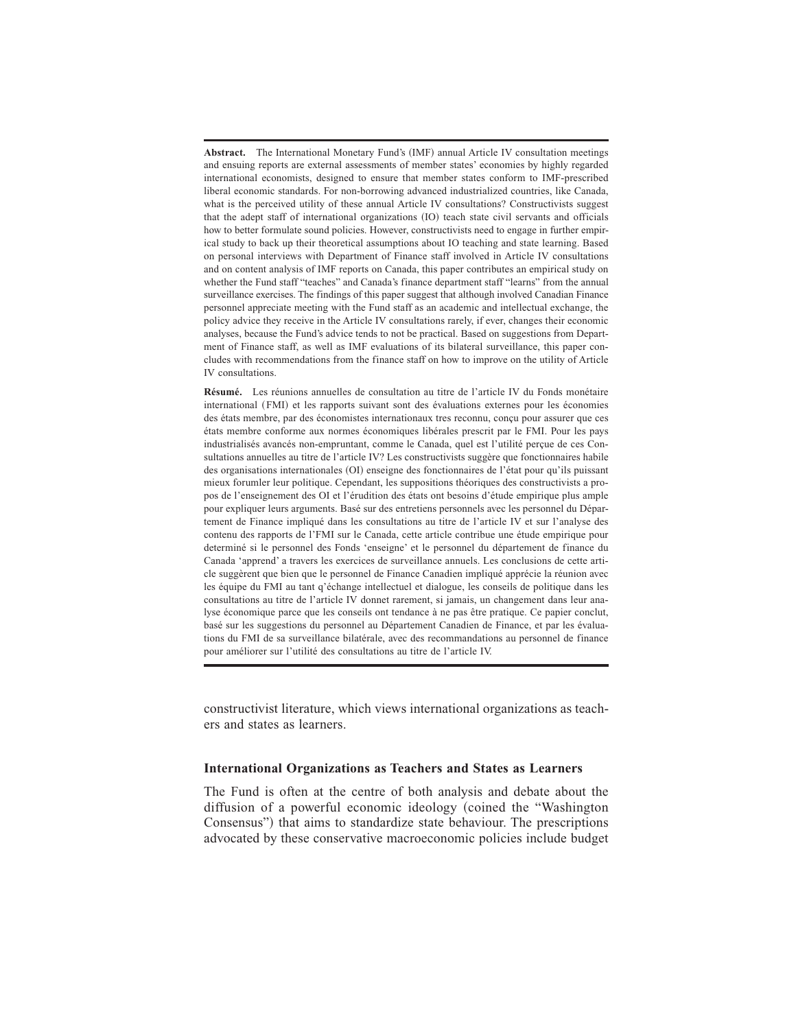Abstract. The International Monetary Fund's (IMF) annual Article IV consultation meetings and ensuing reports are external assessments of member states' economies by highly regarded international economists, designed to ensure that member states conform to IMF-prescribed liberal economic standards. For non-borrowing advanced industrialized countries, like Canada, what is the perceived utility of these annual Article IV consultations? Constructivists suggest that the adept staff of international organizations (IO) teach state civil servants and officials how to better formulate sound policies. However, constructivists need to engage in further empirical study to back up their theoretical assumptions about IO teaching and state learning. Based on personal interviews with Department of Finance staff involved in Article IV consultations and on content analysis of IMF reports on Canada, this paper contributes an empirical study on whether the Fund staff "teaches" and Canada's finance department staff "learns" from the annual surveillance exercises. The findings of this paper suggest that although involved Canadian Finance personnel appreciate meeting with the Fund staff as an academic and intellectual exchange, the policy advice they receive in the Article IV consultations rarely, if ever, changes their economic analyses, because the Fund's advice tends to not be practical. Based on suggestions from Department of Finance staff, as well as IMF evaluations of its bilateral surveillance, this paper concludes with recommendations from the finance staff on how to improve on the utility of Article IV consultations.

**Résumé.** Les réunions annuelles de consultation au titre de l'article IV du Fonds monétaire international (FMI) et les rapports suivant sont des évaluations externes pour les économies des états membre, par des économistes internationaux tres reconnu, conçu pour assurer que ces états membre conforme aux normes économiques libérales prescrit par le FMI. Pour les pays industrialisés avancés non-empruntant, comme le Canada, quel est l'utilité perçue de ces Consultations annuelles au titre de l'article IV? Les constructivists suggère que fonctionnaires habile des organisations internationales (OI) enseigne des fonctionnaires de l'état pour qu'ils puissant mieux forumler leur politique. Cependant, les suppositions théoriques des constructivists a propos de l'enseignement des OI et l'érudition des états ont besoins d'étude empirique plus ample pour expliquer leurs arguments. Basé sur des entretiens personnels avec les personnel du Département de Finance impliqué dans les consultations au titre de l'article IV et sur l'analyse des contenu des rapports de l'FMI sur le Canada, cette article contribue une étude empirique pour determiné si le personnel des Fonds 'enseigne' et le personnel du département de finance du Canada 'apprend' a travers les exercices de surveillance annuels. Les conclusions de cette article suggèrent que bien que le personnel de Finance Canadien impliqué apprécie la réunion avec les équipe du FMI au tant q'échange intellectuel et dialogue, les conseils de politique dans les consultations au titre de l'article IV donnet rarement, si jamais, un changement dans leur analyse économique parce que les conseils ont tendance à ne pas être pratique. Ce papier conclut, basé sur les suggestions du personnel au Département Canadien de Finance, et par les évaluations du FMI de sa surveillance bilatérale, avec des recommandations au personnel de finance pour améliorer sur l'utilité des consultations au titre de l'article IV.

constructivist literature, which views international organizations as teachers and states as learners.

### **International Organizations as Teachers and States as Learners**

The Fund is often at the centre of both analysis and debate about the diffusion of a powerful economic ideology (coined the "Washington Consensus") that aims to standardize state behaviour. The prescriptions advocated by these conservative macroeconomic policies include budget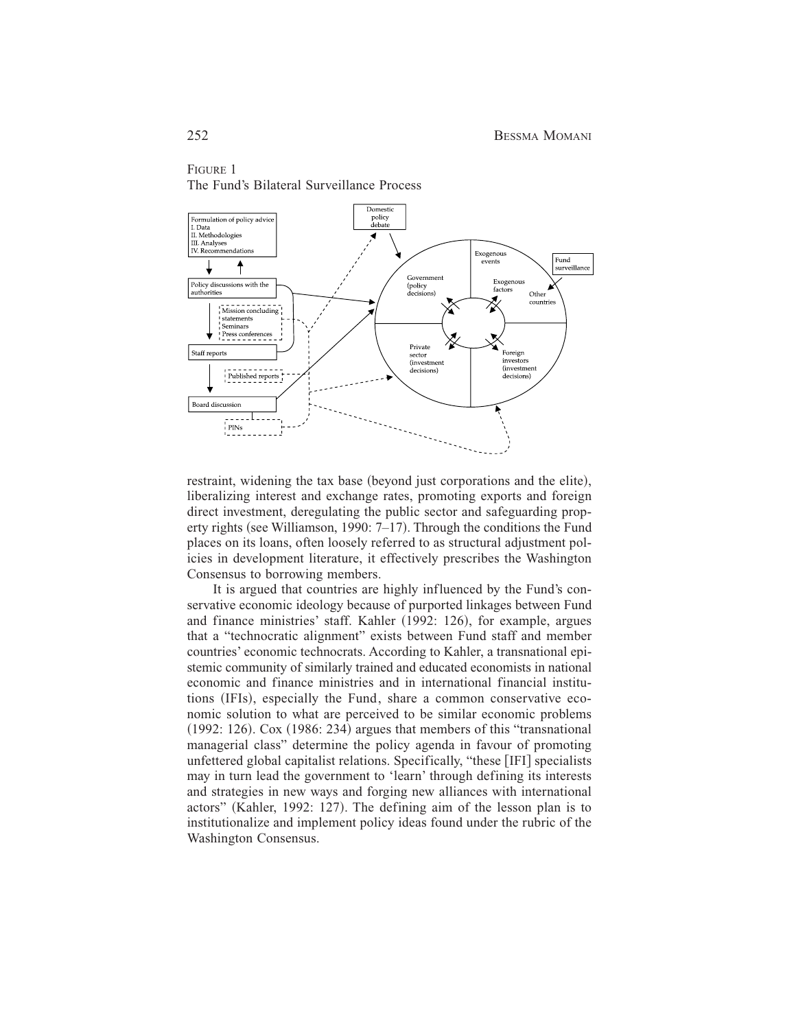

## FIGURE 1 The Fund's Bilateral Surveillance Process

restraint, widening the tax base (beyond just corporations and the elite), liberalizing interest and exchange rates, promoting exports and foreign direct investment, deregulating the public sector and safeguarding property rights (see Williamson, 1990:  $7-17$ ). Through the conditions the Fund places on its loans, often loosely referred to as structural adjustment policies in development literature, it effectively prescribes the Washington Consensus to borrowing members.

It is argued that countries are highly influenced by the Fund's conservative economic ideology because of purported linkages between Fund and finance ministries' staff. Kahler (1992: 126), for example, argues that a "technocratic alignment" exists between Fund staff and member countries' economic technocrats. According to Kahler, a transnational epistemic community of similarly trained and educated economists in national economic and finance ministries and in international financial institutions (IFIs), especially the Fund, share a common conservative economic solution to what are perceived to be similar economic problems  $(1992: 126)$ . Cox  $(1986: 234)$  argues that members of this "transnational managerial class" determine the policy agenda in favour of promoting unfettered global capitalist relations. Specifically, "these  $[IFI]$  specialists may in turn lead the government to 'learn' through defining its interests and strategies in new ways and forging new alliances with international actors" (Kahler, 1992: 127). The defining aim of the lesson plan is to institutionalize and implement policy ideas found under the rubric of the Washington Consensus.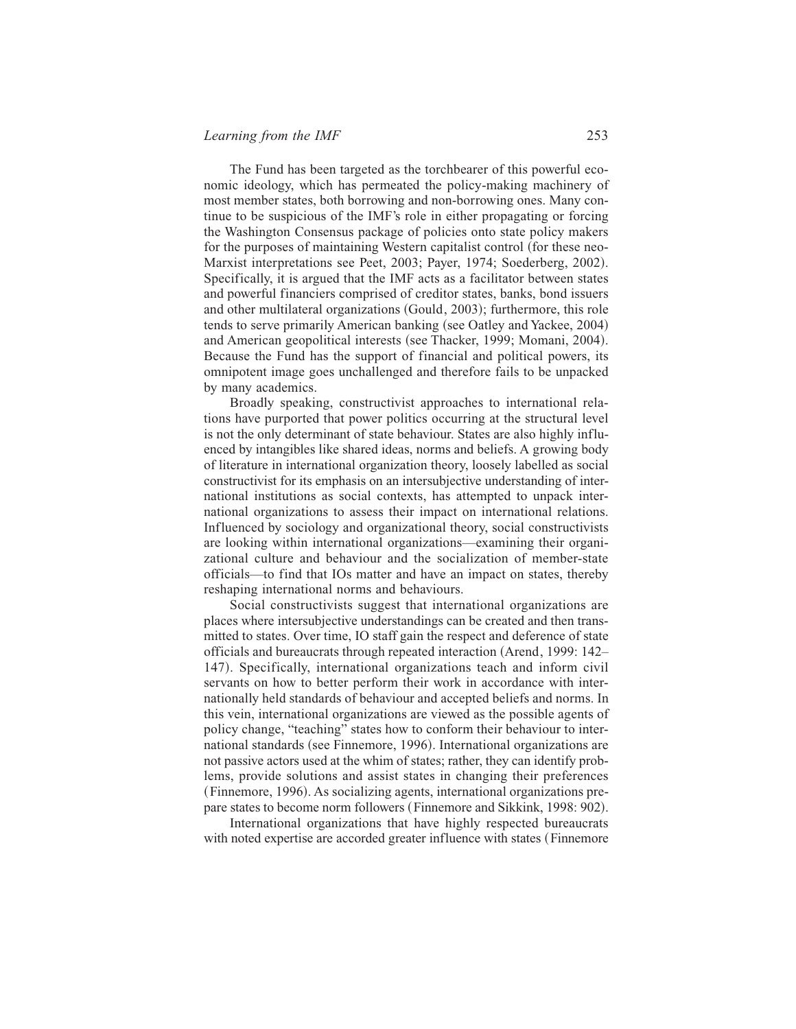The Fund has been targeted as the torchbearer of this powerful economic ideology, which has permeated the policy-making machinery of most member states, both borrowing and non-borrowing ones. Many continue to be suspicious of the IMF's role in either propagating or forcing the Washington Consensus package of policies onto state policy makers for the purposes of maintaining Western capitalist control (for these neo-Marxist interpretations see Peet, 2003; Payer, 1974; Soederberg, 2002). Specifically, it is argued that the IMF acts as a facilitator between states and powerful financiers comprised of creditor states, banks, bond issuers and other multilateral organizations  $(Gould, 2003)$ ; furthermore, this role tends to serve primarily American banking (see Oatley and Yackee, 2004) and American geopolitical interests (see Thacker, 1999; Momani, 2004). Because the Fund has the support of financial and political powers, its omnipotent image goes unchallenged and therefore fails to be unpacked by many academics.

Broadly speaking, constructivist approaches to international relations have purported that power politics occurring at the structural level is not the only determinant of state behaviour. States are also highly influenced by intangibles like shared ideas, norms and beliefs. A growing body of literature in international organization theory, loosely labelled as social constructivist for its emphasis on an intersubjective understanding of international institutions as social contexts, has attempted to unpack international organizations to assess their impact on international relations. Influenced by sociology and organizational theory, social constructivists are looking within international organizations—examining their organizational culture and behaviour and the socialization of member-state officials—to find that IOs matter and have an impact on states, thereby reshaping international norms and behaviours.

Social constructivists suggest that international organizations are places where intersubjective understandings can be created and then transmitted to states. Over time, IO staff gain the respect and deference of state officials and bureaucrats through repeated interaction (Arend, 1999: 142– 147). Specifically, international organizations teach and inform civil servants on how to better perform their work in accordance with internationally held standards of behaviour and accepted beliefs and norms. In this vein, international organizations are viewed as the possible agents of policy change, "teaching" states how to conform their behaviour to international standards (see Finnemore, 1996). International organizations are not passive actors used at the whim of states; rather, they can identify problems, provide solutions and assist states in changing their preferences (Finnemore, 1996). As socializing agents, international organizations prepare states to become norm followers (Finnemore and Sikkink, 1998: 902).

International organizations that have highly respected bureaucrats with noted expertise are accorded greater influence with states (Finnemore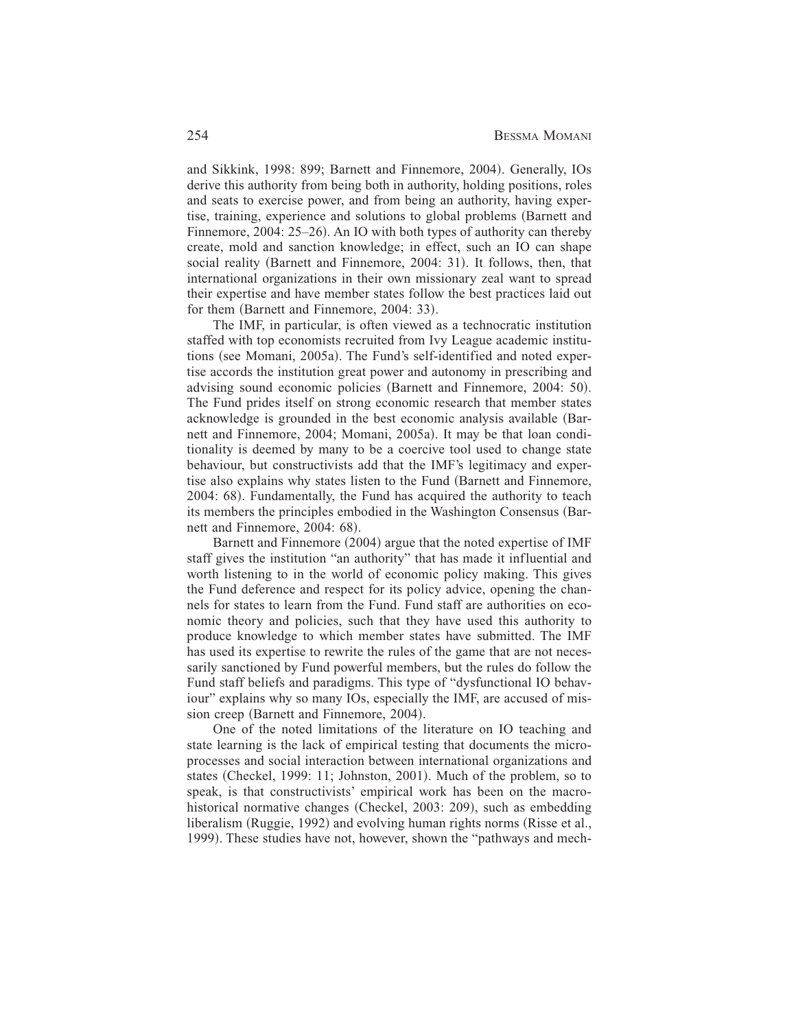and Sikkink, 1998: 899; Barnett and Finnemore, 2004). Generally, IOs derive this authority from being both in authority, holding positions, roles and seats to exercise power, and from being an authority, having expertise, training, experience and solutions to global problems (Barnett and Finnemore,  $2004: 25-26$ ). An IO with both types of authority can thereby create, mold and sanction knowledge; in effect, such an IO can shape social reality (Barnett and Finnemore, 2004: 31). It follows, then, that international organizations in their own missionary zeal want to spread their expertise and have member states follow the best practices laid out for them  $(Barnett and Finmemore, 2004: 33)$ .

The IMF, in particular, is often viewed as a technocratic institution staffed with top economists recruited from Ivy League academic institutions (see Momani, 2005a). The Fund's self-identified and noted expertise accords the institution great power and autonomy in prescribing and advising sound economic policies (Barnett and Finnemore, 2004: 50). The Fund prides itself on strong economic research that member states acknowledge is grounded in the best economic analysis available (Barnett and Finnemore, 2004; Momani, 2005a). It may be that loan conditionality is deemed by many to be a coercive tool used to change state behaviour, but constructivists add that the IMF's legitimacy and expertise also explains why states listen to the Fund (Barnett and Finnemore, 2004: 68). Fundamentally, the Fund has acquired the authority to teach its members the principles embodied in the Washington Consensus (Barnett and Finnemore, 2004: 68).

Barnett and Finnemore (2004) argue that the noted expertise of IMF staff gives the institution "an authority" that has made it influential and worth listening to in the world of economic policy making. This gives the Fund deference and respect for its policy advice, opening the channels for states to learn from the Fund. Fund staff are authorities on economic theory and policies, such that they have used this authority to produce knowledge to which member states have submitted. The IMF has used its expertise to rewrite the rules of the game that are not necessarily sanctioned by Fund powerful members, but the rules do follow the Fund staff beliefs and paradigms. This type of "dysfunctional IO behaviour" explains why so many IOs, especially the IMF, are accused of mission creep (Barnett and Finnemore, 2004).

One of the noted limitations of the literature on IO teaching and state learning is the lack of empirical testing that documents the microprocesses and social interaction between international organizations and states (Checkel, 1999: 11; Johnston, 2001). Much of the problem, so to speak, is that constructivists' empirical work has been on the macrohistorical normative changes (Checkel, 2003: 209), such as embedding liberalism  $(Ruggie, 1992)$  and evolving human rights norms  $(Risse et al.,)$ 1999). These studies have not, however, shown the "pathways and mech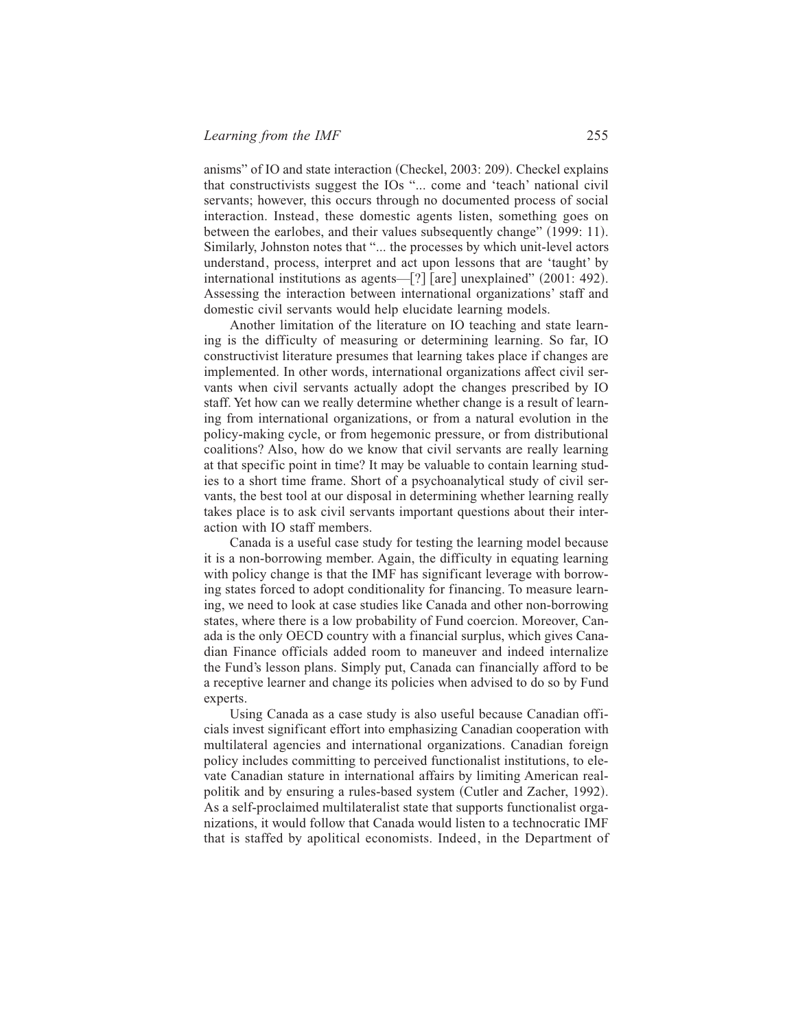anisms" of IO and state interaction (Checkel, 2003: 209). Checkel explains that constructivists suggest the IOs "... come and 'teach' national civil servants; however, this occurs through no documented process of social interaction. Instead, these domestic agents listen, something goes on between the earlobes, and their values subsequently change"  $(1999: 11)$ . Similarly, Johnston notes that "... the processes by which unit-level actors understand, process, interpret and act upon lessons that are 'taught' by international institutions as agents— $[?]$  [are] unexplained"  $(2001: 492)$ . Assessing the interaction between international organizations' staff and domestic civil servants would help elucidate learning models.

Another limitation of the literature on IO teaching and state learning is the difficulty of measuring or determining learning. So far, IO constructivist literature presumes that learning takes place if changes are implemented. In other words, international organizations affect civil servants when civil servants actually adopt the changes prescribed by IO staff. Yet how can we really determine whether change is a result of learning from international organizations, or from a natural evolution in the policy-making cycle, or from hegemonic pressure, or from distributional coalitions? Also, how do we know that civil servants are really learning at that specific point in time? It may be valuable to contain learning studies to a short time frame. Short of a psychoanalytical study of civil servants, the best tool at our disposal in determining whether learning really takes place is to ask civil servants important questions about their interaction with IO staff members.

Canada is a useful case study for testing the learning model because it is a non-borrowing member. Again, the difficulty in equating learning with policy change is that the IMF has significant leverage with borrowing states forced to adopt conditionality for financing. To measure learning, we need to look at case studies like Canada and other non-borrowing states, where there is a low probability of Fund coercion. Moreover, Canada is the only OECD country with a financial surplus, which gives Canadian Finance officials added room to maneuver and indeed internalize the Fund's lesson plans. Simply put, Canada can financially afford to be a receptive learner and change its policies when advised to do so by Fund experts.

Using Canada as a case study is also useful because Canadian officials invest significant effort into emphasizing Canadian cooperation with multilateral agencies and international organizations. Canadian foreign policy includes committing to perceived functionalist institutions, to elevate Canadian stature in international affairs by limiting American realpolitik and by ensuring a rules-based system (Cutler and Zacher, 1992). As a self-proclaimed multilateralist state that supports functionalist organizations, it would follow that Canada would listen to a technocratic IMF that is staffed by apolitical economists. Indeed, in the Department of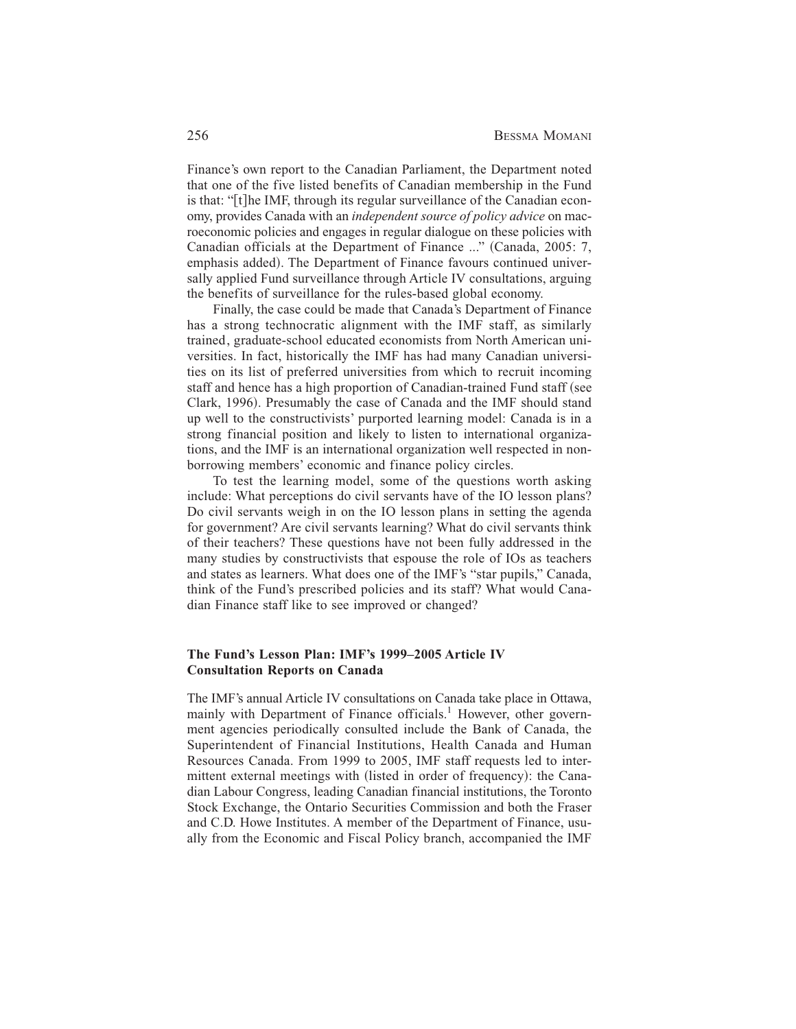Finance's own report to the Canadian Parliament, the Department noted that one of the five listed benefits of Canadian membership in the Fund is that: "[t] he IMF, through its regular surveillance of the Canadian economy, provides Canada with an *independent source of policy advice* on macroeconomic policies and engages in regular dialogue on these policies with Canadian officials at the Department of Finance ..." (Canada, 2005: 7, emphasis added). The Department of Finance favours continued universally applied Fund surveillance through Article IV consultations, arguing the benefits of surveillance for the rules-based global economy.

Finally, the case could be made that Canada's Department of Finance has a strong technocratic alignment with the IMF staff, as similarly trained, graduate-school educated economists from North American universities. In fact, historically the IMF has had many Canadian universities on its list of preferred universities from which to recruit incoming staff and hence has a high proportion of Canadian-trained Fund staff (see Clark, 1996). Presumably the case of Canada and the IMF should stand up well to the constructivists' purported learning model: Canada is in a strong financial position and likely to listen to international organizations, and the IMF is an international organization well respected in nonborrowing members' economic and finance policy circles.

To test the learning model, some of the questions worth asking include: What perceptions do civil servants have of the IO lesson plans? Do civil servants weigh in on the IO lesson plans in setting the agenda for government? Are civil servants learning? What do civil servants think of their teachers? These questions have not been fully addressed in the many studies by constructivists that espouse the role of IOs as teachers and states as learners. What does one of the IMF's "star pupils," Canada, think of the Fund's prescribed policies and its staff? What would Canadian Finance staff like to see improved or changed?

### **The Fund's Lesson Plan: IMF's 1999–2005 Article IV Consultation Reports on Canada**

The IMF's annual Article IV consultations on Canada take place in Ottawa, mainly with Department of Finance officials.<sup>1</sup> However, other government agencies periodically consulted include the Bank of Canada, the Superintendent of Financial Institutions, Health Canada and Human Resources Canada. From 1999 to 2005, IMF staff requests led to intermittent external meetings with (listed in order of frequency): the Canadian Labour Congress, leading Canadian financial institutions, the Toronto Stock Exchange, the Ontario Securities Commission and both the Fraser and C.D. Howe Institutes. A member of the Department of Finance, usually from the Economic and Fiscal Policy branch, accompanied the IMF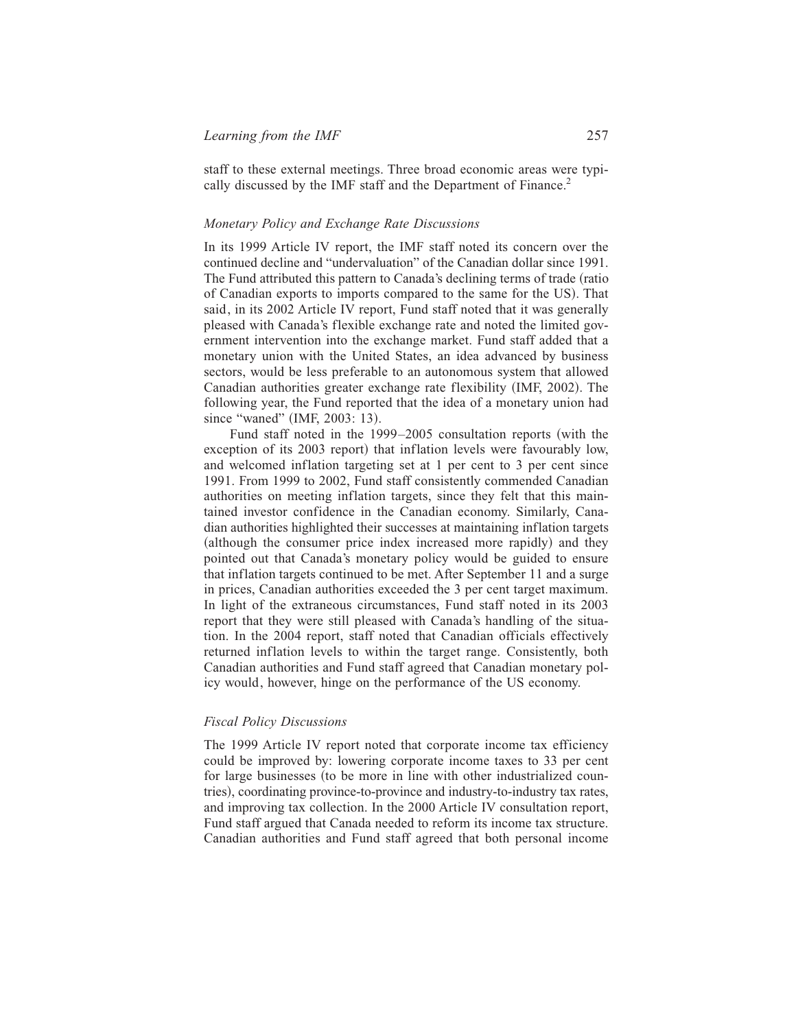staff to these external meetings. Three broad economic areas were typically discussed by the IMF staff and the Department of Finance.<sup>2</sup>

#### *Monetary Policy and Exchange Rate Discussions*

In its 1999 Article IV report, the IMF staff noted its concern over the continued decline and "undervaluation" of the Canadian dollar since 1991. The Fund attributed this pattern to Canada's declining terms of trade (ratio of Canadian exports to imports compared to the same for the US). That said, in its 2002 Article IV report, Fund staff noted that it was generally pleased with Canada's flexible exchange rate and noted the limited government intervention into the exchange market. Fund staff added that a monetary union with the United States, an idea advanced by business sectors, would be less preferable to an autonomous system that allowed Canadian authorities greater exchange rate flexibility (IMF, 2002). The following year, the Fund reported that the idea of a monetary union had since "waned" (IMF, 2003: 13).

Fund staff noted in the  $1999-2005$  consultation reports (with the exception of its 2003 report) that inflation levels were favourably low. and welcomed inflation targeting set at 1 per cent to 3 per cent since 1991. From 1999 to 2002, Fund staff consistently commended Canadian authorities on meeting inflation targets, since they felt that this maintained investor confidence in the Canadian economy. Similarly, Canadian authorities highlighted their successes at maintaining inflation targets (although the consumer price index increased more rapidly) and they pointed out that Canada's monetary policy would be guided to ensure that inflation targets continued to be met. After September 11 and a surge in prices, Canadian authorities exceeded the 3 per cent target maximum. In light of the extraneous circumstances, Fund staff noted in its 2003 report that they were still pleased with Canada's handling of the situation. In the 2004 report, staff noted that Canadian officials effectively returned inflation levels to within the target range. Consistently, both Canadian authorities and Fund staff agreed that Canadian monetary policy would, however, hinge on the performance of the US economy.

#### *Fiscal Policy Discussions*

The 1999 Article IV report noted that corporate income tax efficiency could be improved by: lowering corporate income taxes to 33 per cent for large businesses (to be more in line with other industrialized countries), coordinating province-to-province and industry-to-industry tax rates, and improving tax collection. In the 2000 Article IV consultation report, Fund staff argued that Canada needed to reform its income tax structure. Canadian authorities and Fund staff agreed that both personal income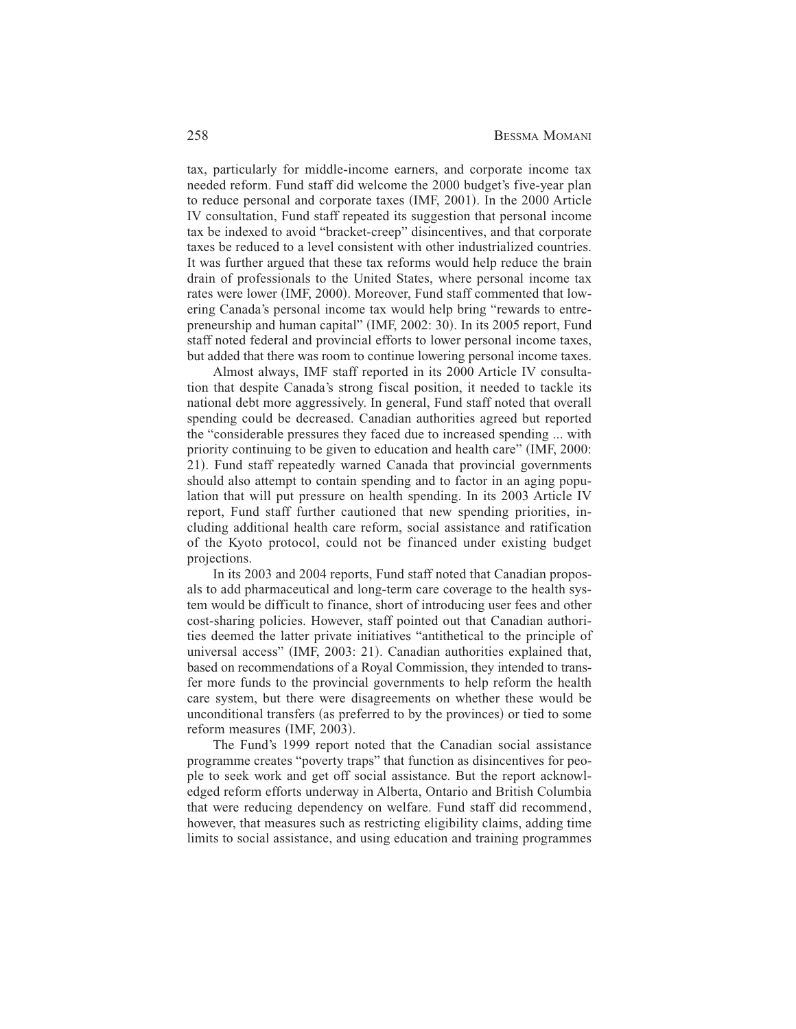tax, particularly for middle-income earners, and corporate income tax needed reform. Fund staff did welcome the 2000 budget's five-year plan to reduce personal and corporate taxes (IMF, 2001). In the 2000 Article IV consultation, Fund staff repeated its suggestion that personal income tax be indexed to avoid "bracket-creep" disincentives, and that corporate taxes be reduced to a level consistent with other industrialized countries. It was further argued that these tax reforms would help reduce the brain drain of professionals to the United States, where personal income tax rates were lower (IMF, 2000). Moreover, Fund staff commented that lowering Canada's personal income tax would help bring "rewards to entrepreneurship and human capital" (IMF, 2002: 30). In its 2005 report, Fund staff noted federal and provincial efforts to lower personal income taxes, but added that there was room to continue lowering personal income taxes.

Almost always, IMF staff reported in its 2000 Article IV consultation that despite Canada's strong fiscal position, it needed to tackle its national debt more aggressively. In general, Fund staff noted that overall spending could be decreased. Canadian authorities agreed but reported the "considerable pressures they faced due to increased spending ... with priority continuing to be given to education and health care" (IMF, 2000: 21). Fund staff repeatedly warned Canada that provincial governments should also attempt to contain spending and to factor in an aging population that will put pressure on health spending. In its 2003 Article IV report, Fund staff further cautioned that new spending priorities, including additional health care reform, social assistance and ratification of the Kyoto protocol, could not be financed under existing budget projections.

In its 2003 and 2004 reports, Fund staff noted that Canadian proposals to add pharmaceutical and long-term care coverage to the health system would be difficult to finance, short of introducing user fees and other cost-sharing policies. However, staff pointed out that Canadian authorities deemed the latter private initiatives "antithetical to the principle of universal access" (IMF, 2003: 21). Canadian authorities explained that, based on recommendations of a Royal Commission, they intended to transfer more funds to the provincial governments to help reform the health care system, but there were disagreements on whether these would be unconditional transfers (as preferred to by the provinces) or tied to some reform measures (IMF, 2003).

The Fund's 1999 report noted that the Canadian social assistance programme creates "poverty traps" that function as disincentives for people to seek work and get off social assistance. But the report acknowledged reform efforts underway in Alberta, Ontario and British Columbia that were reducing dependency on welfare. Fund staff did recommend, however, that measures such as restricting eligibility claims, adding time limits to social assistance, and using education and training programmes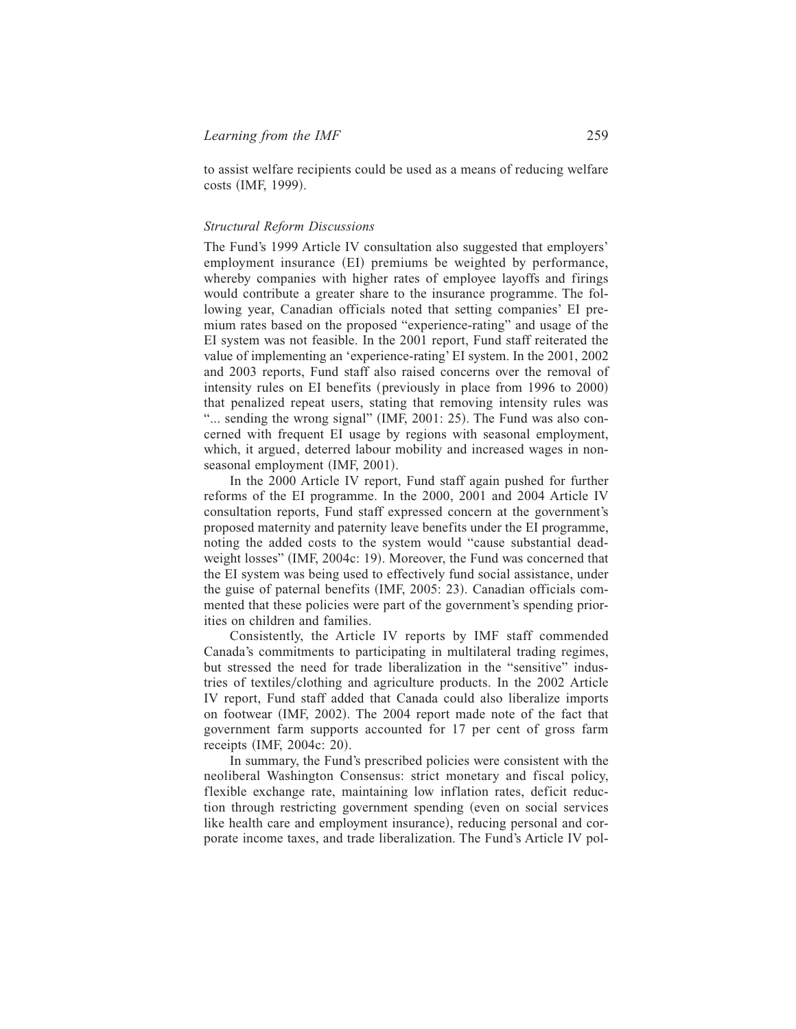to assist welfare recipients could be used as a means of reducing welfare costs (IMF, 1999).

## *Structural Reform Discussions*

The Fund's 1999 Article IV consultation also suggested that employers' employment insurance (EI) premiums be weighted by performance, whereby companies with higher rates of employee layoffs and firings would contribute a greater share to the insurance programme. The following year, Canadian officials noted that setting companies' EI premium rates based on the proposed "experience-rating" and usage of the EI system was not feasible. In the 2001 report, Fund staff reiterated the value of implementing an 'experience-rating' EI system. In the 2001, 2002 and 2003 reports, Fund staff also raised concerns over the removal of intensity rules on EI benefits (previously in place from  $1996$  to  $2000$ ) that penalized repeat users, stating that removing intensity rules was "... sending the wrong signal" (IMF, 2001: 25). The Fund was also concerned with frequent EI usage by regions with seasonal employment, which, it argued, deterred labour mobility and increased wages in nonseasonal employment (IMF, 2001).

In the 2000 Article IV report, Fund staff again pushed for further reforms of the EI programme. In the 2000, 2001 and 2004 Article IV consultation reports, Fund staff expressed concern at the government's proposed maternity and paternity leave benefits under the EI programme, noting the added costs to the system would "cause substantial deadweight losses" (IMF, 2004c: 19). Moreover, the Fund was concerned that the EI system was being used to effectively fund social assistance, under the guise of paternal benefits (IMF, 2005: 23). Canadian officials commented that these policies were part of the government's spending priorities on children and families.

Consistently, the Article IV reports by IMF staff commended Canada's commitments to participating in multilateral trading regimes, but stressed the need for trade liberalization in the "sensitive" industries of textiles/clothing and agriculture products. In the 2002 Article IV report, Fund staff added that Canada could also liberalize imports on footwear (IMF, 2002). The 2004 report made note of the fact that government farm supports accounted for 17 per cent of gross farm receipts  $(MF, 2004c: 20)$ .

In summary, the Fund's prescribed policies were consistent with the neoliberal Washington Consensus: strict monetary and fiscal policy, flexible exchange rate, maintaining low inflation rates, deficit reduction through restricting government spending (even on social services like health care and employment insurance), reducing personal and corporate income taxes, and trade liberalization. The Fund's Article IV pol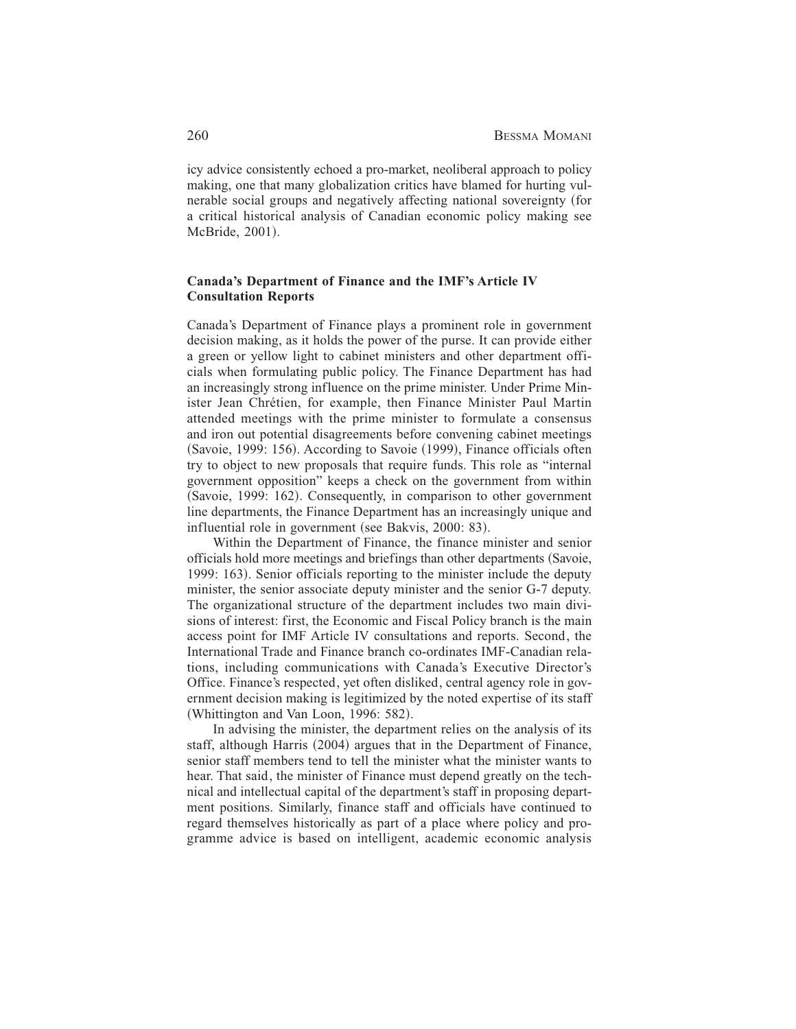icy advice consistently echoed a pro-market, neoliberal approach to policy making, one that many globalization critics have blamed for hurting vulnerable social groups and negatively affecting national sovereignty (for a critical historical analysis of Canadian economic policy making see McBride, 2001).

## **Canada's Department of Finance and the IMF's Article IV Consultation Reports**

Canada's Department of Finance plays a prominent role in government decision making, as it holds the power of the purse. It can provide either a green or yellow light to cabinet ministers and other department officials when formulating public policy. The Finance Department has had an increasingly strong influence on the prime minister. Under Prime Minister Jean Chrétien, for example, then Finance Minister Paul Martin attended meetings with the prime minister to formulate a consensus and iron out potential disagreements before convening cabinet meetings  $(Savoie, 1999: 156)$ . According to Savoie  $(1999)$ , Finance officials often try to object to new proposals that require funds. This role as "internal government opposition" keeps a check on the government from within (Savoie, 1999: 162). Consequently, in comparison to other government line departments, the Finance Department has an increasingly unique and influential role in government (see Bakvis,  $2000: 83$ ).

Within the Department of Finance, the finance minister and senior officials hold more meetings and briefings than other departments (Savoie, 1999: 163). Senior officials reporting to the minister include the deputy minister, the senior associate deputy minister and the senior G-7 deputy. The organizational structure of the department includes two main divisions of interest: first, the Economic and Fiscal Policy branch is the main access point for IMF Article IV consultations and reports. Second, the International Trade and Finance branch co-ordinates IMF-Canadian relations, including communications with Canada's Executive Director's Office. Finance's respected, yet often disliked, central agency role in government decision making is legitimized by the noted expertise of its staff (Whittington and Van Loon, 1996: 582).

In advising the minister, the department relies on the analysis of its staff, although Harris (2004) argues that in the Department of Finance, senior staff members tend to tell the minister what the minister wants to hear. That said, the minister of Finance must depend greatly on the technical and intellectual capital of the department's staff in proposing department positions. Similarly, finance staff and officials have continued to regard themselves historically as part of a place where policy and programme advice is based on intelligent, academic economic analysis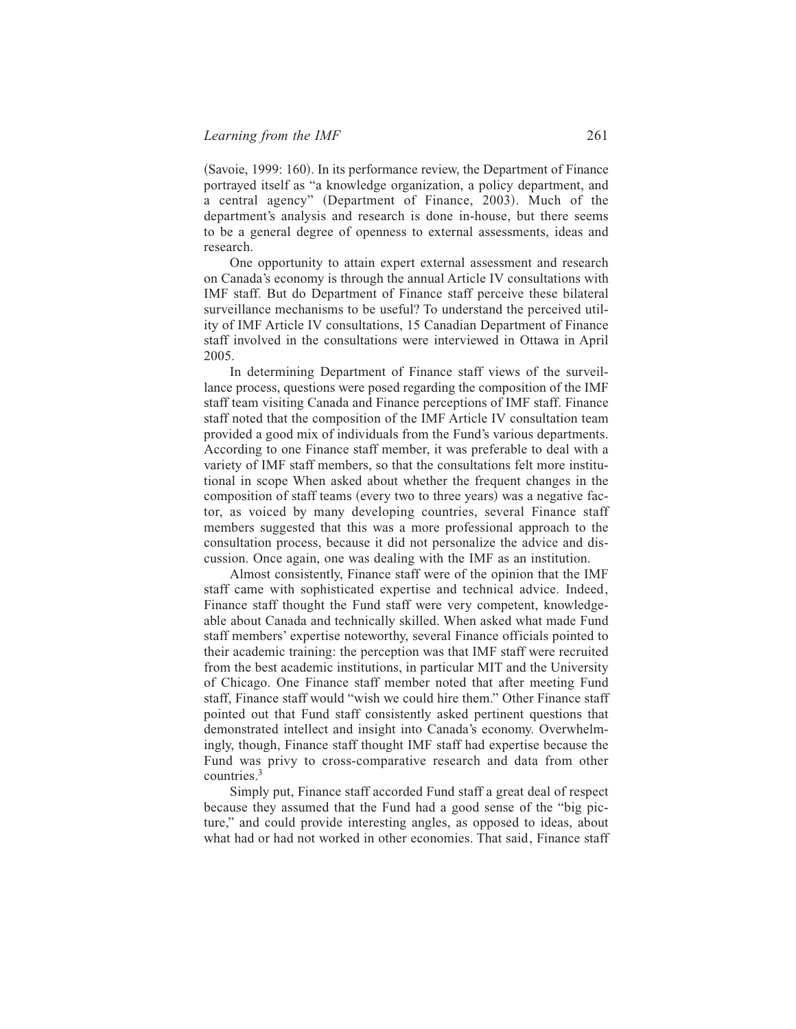(Savoie, 1999: 160). In its performance review, the Department of Finance portrayed itself as "a knowledge organization, a policy department, and a central agency" (Department of Finance, 2003). Much of the department's analysis and research is done in-house, but there seems to be a general degree of openness to external assessments, ideas and research.

One opportunity to attain expert external assessment and research on Canada's economy is through the annual Article IV consultations with IMF staff. But do Department of Finance staff perceive these bilateral surveillance mechanisms to be useful? To understand the perceived utility of IMF Article IV consultations, 15 Canadian Department of Finance staff involved in the consultations were interviewed in Ottawa in April 2005.

In determining Department of Finance staff views of the surveillance process, questions were posed regarding the composition of the IMF staff team visiting Canada and Finance perceptions of IMF staff. Finance staff noted that the composition of the IMF Article IV consultation team provided a good mix of individuals from the Fund's various departments. According to one Finance staff member, it was preferable to deal with a variety of IMF staff members, so that the consultations felt more institutional in scope When asked about whether the frequent changes in the composition of staff teams (every two to three years) was a negative factor, as voiced by many developing countries, several Finance staff members suggested that this was a more professional approach to the consultation process, because it did not personalize the advice and discussion. Once again, one was dealing with the IMF as an institution.

Almost consistently, Finance staff were of the opinion that the IMF staff came with sophisticated expertise and technical advice. Indeed, Finance staff thought the Fund staff were very competent, knowledgeable about Canada and technically skilled. When asked what made Fund staff members' expertise noteworthy, several Finance officials pointed to their academic training: the perception was that IMF staff were recruited from the best academic institutions, in particular MIT and the University of Chicago. One Finance staff member noted that after meeting Fund staff, Finance staff would "wish we could hire them." Other Finance staff pointed out that Fund staff consistently asked pertinent questions that demonstrated intellect and insight into Canada's economy. Overwhelmingly, though, Finance staff thought IMF staff had expertise because the Fund was privy to cross-comparative research and data from other countries.3

Simply put, Finance staff accorded Fund staff a great deal of respect because they assumed that the Fund had a good sense of the "big picture," and could provide interesting angles, as opposed to ideas, about what had or had not worked in other economies. That said, Finance staff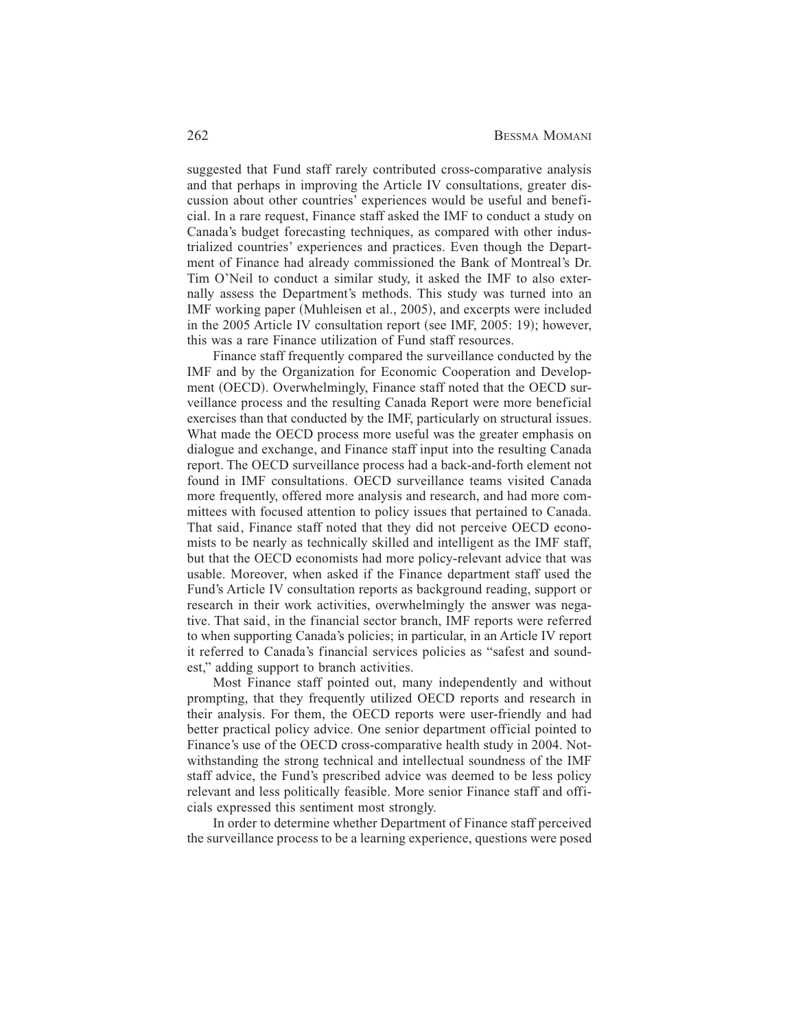suggested that Fund staff rarely contributed cross-comparative analysis and that perhaps in improving the Article IV consultations, greater discussion about other countries' experiences would be useful and beneficial. In a rare request, Finance staff asked the IMF to conduct a study on Canada's budget forecasting techniques, as compared with other industrialized countries' experiences and practices. Even though the Department of Finance had already commissioned the Bank of Montreal's Dr. Tim O'Neil to conduct a similar study, it asked the IMF to also externally assess the Department's methods. This study was turned into an IMF working paper (Muhleisen et al., 2005), and excerpts were included in the  $2005$  Article IV consultation report (see IMF,  $2005: 19$ ); however, this was a rare Finance utilization of Fund staff resources.

Finance staff frequently compared the surveillance conducted by the IMF and by the Organization for Economic Cooperation and Development (OECD). Overwhelmingly, Finance staff noted that the OECD surveillance process and the resulting Canada Report were more beneficial exercises than that conducted by the IMF, particularly on structural issues. What made the OECD process more useful was the greater emphasis on dialogue and exchange, and Finance staff input into the resulting Canada report. The OECD surveillance process had a back-and-forth element not found in IMF consultations. OECD surveillance teams visited Canada more frequently, offered more analysis and research, and had more committees with focused attention to policy issues that pertained to Canada. That said, Finance staff noted that they did not perceive OECD economists to be nearly as technically skilled and intelligent as the IMF staff, but that the OECD economists had more policy-relevant advice that was usable. Moreover, when asked if the Finance department staff used the Fund's Article IV consultation reports as background reading, support or research in their work activities, overwhelmingly the answer was negative. That said, in the financial sector branch, IMF reports were referred to when supporting Canada's policies; in particular, in an Article IV report it referred to Canada's financial services policies as "safest and soundest," adding support to branch activities.

Most Finance staff pointed out, many independently and without prompting, that they frequently utilized OECD reports and research in their analysis. For them, the OECD reports were user-friendly and had better practical policy advice. One senior department official pointed to Finance's use of the OECD cross-comparative health study in 2004. Notwithstanding the strong technical and intellectual soundness of the IMF staff advice, the Fund's prescribed advice was deemed to be less policy relevant and less politically feasible. More senior Finance staff and officials expressed this sentiment most strongly.

In order to determine whether Department of Finance staff perceived the surveillance process to be a learning experience, questions were posed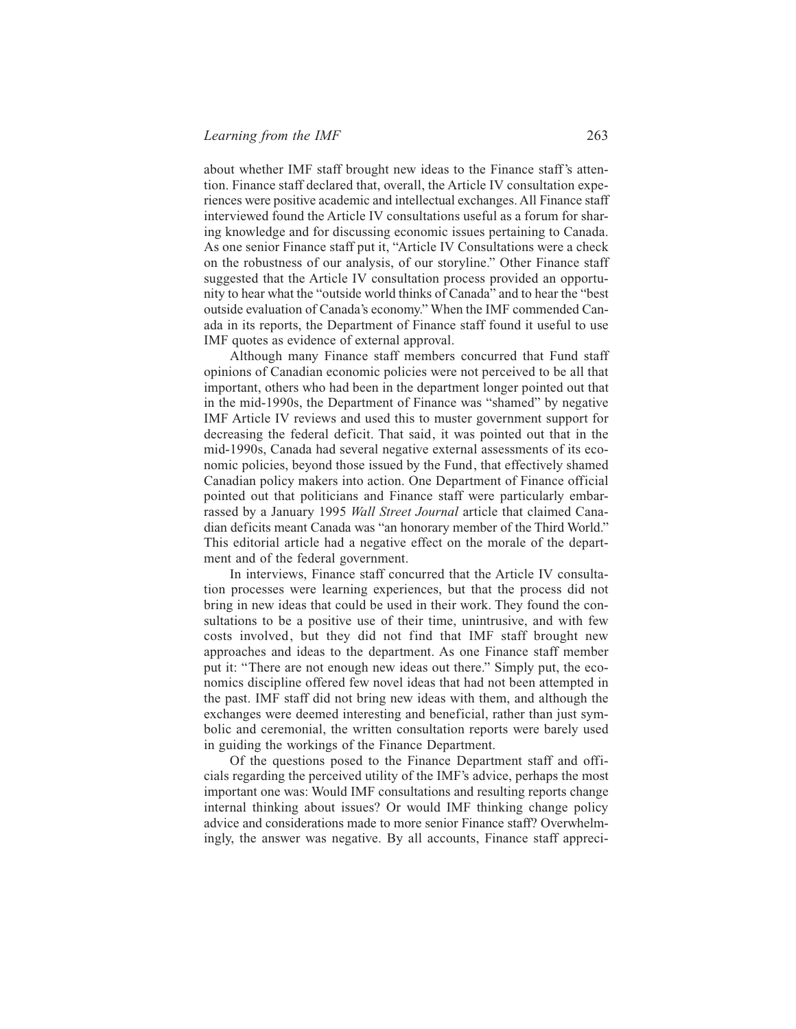about whether IMF staff brought new ideas to the Finance staff 's attention. Finance staff declared that, overall, the Article IV consultation experiences were positive academic and intellectual exchanges. All Finance staff interviewed found the Article IV consultations useful as a forum for sharing knowledge and for discussing economic issues pertaining to Canada. As one senior Finance staff put it, "Article IV Consultations were a check on the robustness of our analysis, of our storyline." Other Finance staff suggested that the Article IV consultation process provided an opportunity to hear what the "outside world thinks of Canada" and to hear the "best outside evaluation of Canada's economy." When the IMF commended Canada in its reports, the Department of Finance staff found it useful to use IMF quotes as evidence of external approval.

Although many Finance staff members concurred that Fund staff opinions of Canadian economic policies were not perceived to be all that important, others who had been in the department longer pointed out that in the mid-1990s, the Department of Finance was "shamed" by negative IMF Article IV reviews and used this to muster government support for decreasing the federal deficit. That said, it was pointed out that in the mid-1990s, Canada had several negative external assessments of its economic policies, beyond those issued by the Fund, that effectively shamed Canadian policy makers into action. One Department of Finance official pointed out that politicians and Finance staff were particularly embarrassed by a January 1995 *Wall Street Journal* article that claimed Canadian deficits meant Canada was "an honorary member of the Third World." This editorial article had a negative effect on the morale of the department and of the federal government.

In interviews, Finance staff concurred that the Article IV consultation processes were learning experiences, but that the process did not bring in new ideas that could be used in their work. They found the consultations to be a positive use of their time, unintrusive, and with few costs involved, but they did not find that IMF staff brought new approaches and ideas to the department. As one Finance staff member put it: "There are not enough new ideas out there." Simply put, the economics discipline offered few novel ideas that had not been attempted in the past. IMF staff did not bring new ideas with them, and although the exchanges were deemed interesting and beneficial, rather than just symbolic and ceremonial, the written consultation reports were barely used in guiding the workings of the Finance Department.

Of the questions posed to the Finance Department staff and officials regarding the perceived utility of the IMF's advice, perhaps the most important one was: Would IMF consultations and resulting reports change internal thinking about issues? Or would IMF thinking change policy advice and considerations made to more senior Finance staff? Overwhelmingly, the answer was negative. By all accounts, Finance staff appreci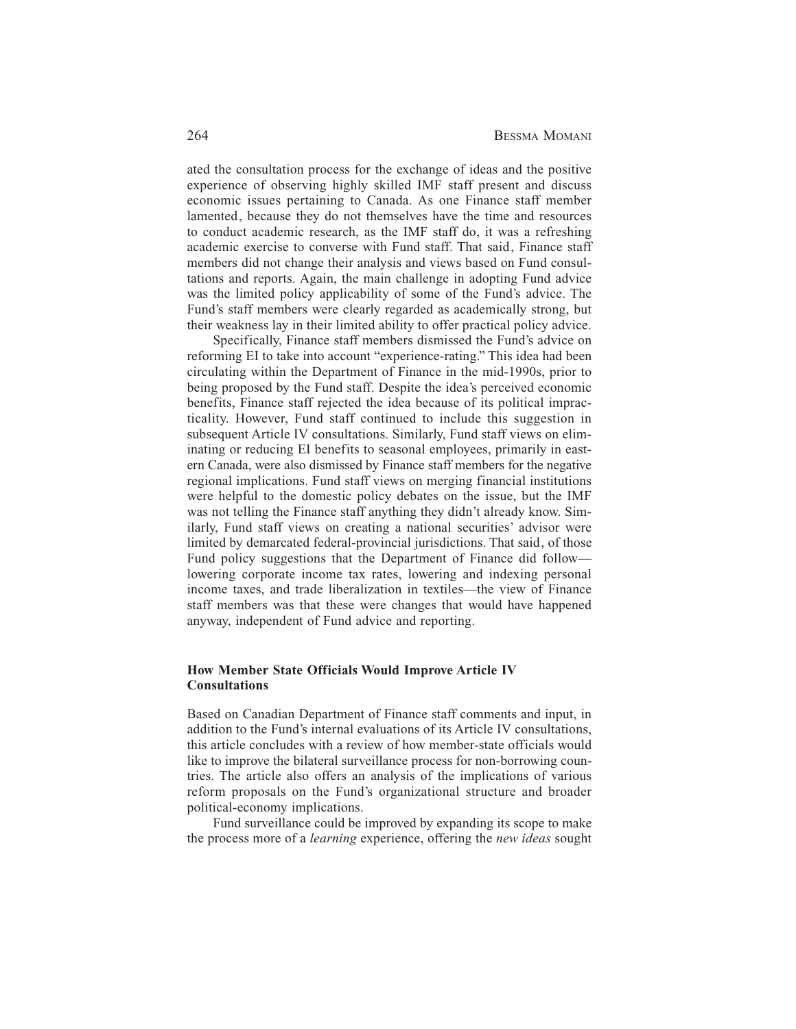ated the consultation process for the exchange of ideas and the positive experience of observing highly skilled IMF staff present and discuss economic issues pertaining to Canada. As one Finance staff member lamented, because they do not themselves have the time and resources to conduct academic research, as the IMF staff do, it was a refreshing academic exercise to converse with Fund staff. That said, Finance staff members did not change their analysis and views based on Fund consultations and reports. Again, the main challenge in adopting Fund advice was the limited policy applicability of some of the Fund's advice. The Fund's staff members were clearly regarded as academically strong, but their weakness lay in their limited ability to offer practical policy advice.

Specifically, Finance staff members dismissed the Fund's advice on reforming EI to take into account "experience-rating." This idea had been circulating within the Department of Finance in the mid-1990s, prior to being proposed by the Fund staff. Despite the idea's perceived economic benefits, Finance staff rejected the idea because of its political impracticality. However, Fund staff continued to include this suggestion in subsequent Article IV consultations. Similarly, Fund staff views on eliminating or reducing EI benefits to seasonal employees, primarily in eastern Canada, were also dismissed by Finance staff members for the negative regional implications. Fund staff views on merging financial institutions were helpful to the domestic policy debates on the issue, but the IMF was not telling the Finance staff anything they didn't already know. Similarly, Fund staff views on creating a national securities' advisor were limited by demarcated federal-provincial jurisdictions. That said, of those Fund policy suggestions that the Department of Finance did follow lowering corporate income tax rates, lowering and indexing personal income taxes, and trade liberalization in textiles—the view of Finance staff members was that these were changes that would have happened anyway, independent of Fund advice and reporting.

## **How Member State Officials Would Improve Article IV Consultations**

Based on Canadian Department of Finance staff comments and input, in addition to the Fund's internal evaluations of its Article IV consultations, this article concludes with a review of how member-state officials would like to improve the bilateral surveillance process for non-borrowing countries. The article also offers an analysis of the implications of various reform proposals on the Fund's organizational structure and broader political-economy implications.

Fund surveillance could be improved by expanding its scope to make the process more of a *learning* experience, offering the *new ideas* sought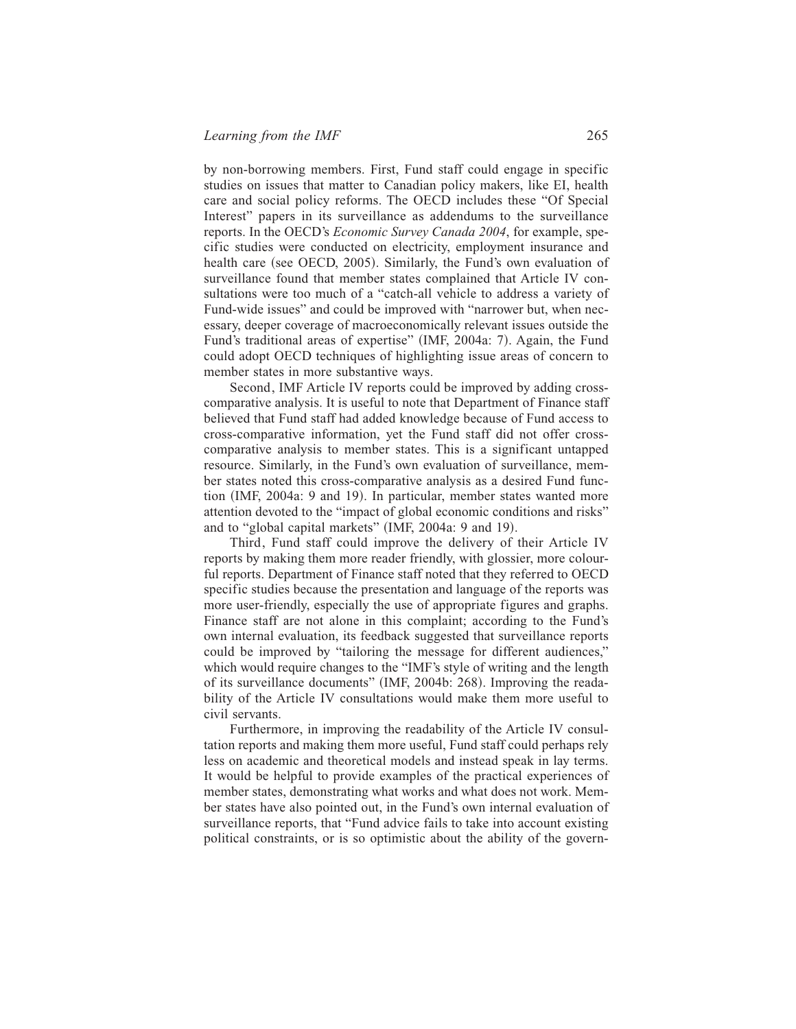by non-borrowing members. First, Fund staff could engage in specific studies on issues that matter to Canadian policy makers, like EI, health care and social policy reforms. The OECD includes these "Of Special Interest" papers in its surveillance as addendums to the surveillance reports. In the OECD's *Economic Survey Canada 2004*, for example, specific studies were conducted on electricity, employment insurance and health care (see OECD, 2005). Similarly, the Fund's own evaluation of surveillance found that member states complained that Article IV consultations were too much of a "catch-all vehicle to address a variety of Fund-wide issues" and could be improved with "narrower but, when necessary, deeper coverage of macroeconomically relevant issues outside the Fund's traditional areas of expertise" (IMF, 2004a: 7). Again, the Fund could adopt OECD techniques of highlighting issue areas of concern to member states in more substantive ways.

Second, IMF Article IV reports could be improved by adding crosscomparative analysis. It is useful to note that Department of Finance staff believed that Fund staff had added knowledge because of Fund access to cross-comparative information, yet the Fund staff did not offer crosscomparative analysis to member states. This is a significant untapped resource. Similarly, in the Fund's own evaluation of surveillance, member states noted this cross-comparative analysis as a desired Fund function (IMF, 2004a: 9 and 19). In particular, member states wanted more attention devoted to the "impact of global economic conditions and risks" and to "global capital markets"  $(MF, 2004a: 9$  and 19).

Third, Fund staff could improve the delivery of their Article IV reports by making them more reader friendly, with glossier, more colourful reports. Department of Finance staff noted that they referred to OECD specific studies because the presentation and language of the reports was more user-friendly, especially the use of appropriate figures and graphs. Finance staff are not alone in this complaint; according to the Fund's own internal evaluation, its feedback suggested that surveillance reports could be improved by "tailoring the message for different audiences," which would require changes to the "IMF's style of writing and the length of its surveillance documents" (IMF, 2004b: 268). Improving the readability of the Article IV consultations would make them more useful to civil servants.

Furthermore, in improving the readability of the Article IV consultation reports and making them more useful, Fund staff could perhaps rely less on academic and theoretical models and instead speak in lay terms. It would be helpful to provide examples of the practical experiences of member states, demonstrating what works and what does not work. Member states have also pointed out, in the Fund's own internal evaluation of surveillance reports, that "Fund advice fails to take into account existing political constraints, or is so optimistic about the ability of the govern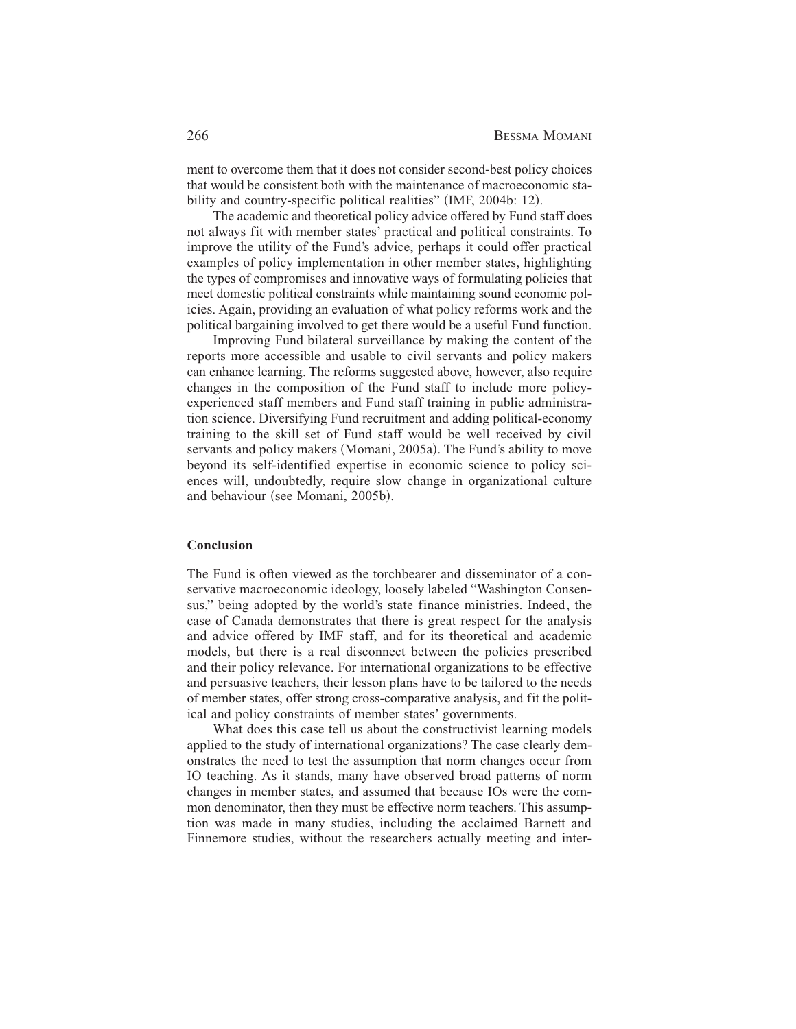ment to overcome them that it does not consider second-best policy choices that would be consistent both with the maintenance of macroeconomic stability and country-specific political realities" (IMF, 2004b: 12).

The academic and theoretical policy advice offered by Fund staff does not always fit with member states' practical and political constraints. To improve the utility of the Fund's advice, perhaps it could offer practical examples of policy implementation in other member states, highlighting the types of compromises and innovative ways of formulating policies that meet domestic political constraints while maintaining sound economic policies. Again, providing an evaluation of what policy reforms work and the political bargaining involved to get there would be a useful Fund function.

Improving Fund bilateral surveillance by making the content of the reports more accessible and usable to civil servants and policy makers can enhance learning. The reforms suggested above, however, also require changes in the composition of the Fund staff to include more policyexperienced staff members and Fund staff training in public administration science. Diversifying Fund recruitment and adding political-economy training to the skill set of Fund staff would be well received by civil servants and policy makers (Momani, 2005a). The Fund's ability to move beyond its self-identified expertise in economic science to policy sciences will, undoubtedly, require slow change in organizational culture and behaviour (see Momani, 2005b).

#### **Conclusion**

The Fund is often viewed as the torchbearer and disseminator of a conservative macroeconomic ideology, loosely labeled "Washington Consensus," being adopted by the world's state finance ministries. Indeed, the case of Canada demonstrates that there is great respect for the analysis and advice offered by IMF staff, and for its theoretical and academic models, but there is a real disconnect between the policies prescribed and their policy relevance. For international organizations to be effective and persuasive teachers, their lesson plans have to be tailored to the needs of member states, offer strong cross-comparative analysis, and fit the political and policy constraints of member states' governments.

What does this case tell us about the constructivist learning models applied to the study of international organizations? The case clearly demonstrates the need to test the assumption that norm changes occur from IO teaching. As it stands, many have observed broad patterns of norm changes in member states, and assumed that because IOs were the common denominator, then they must be effective norm teachers. This assumption was made in many studies, including the acclaimed Barnett and Finnemore studies, without the researchers actually meeting and inter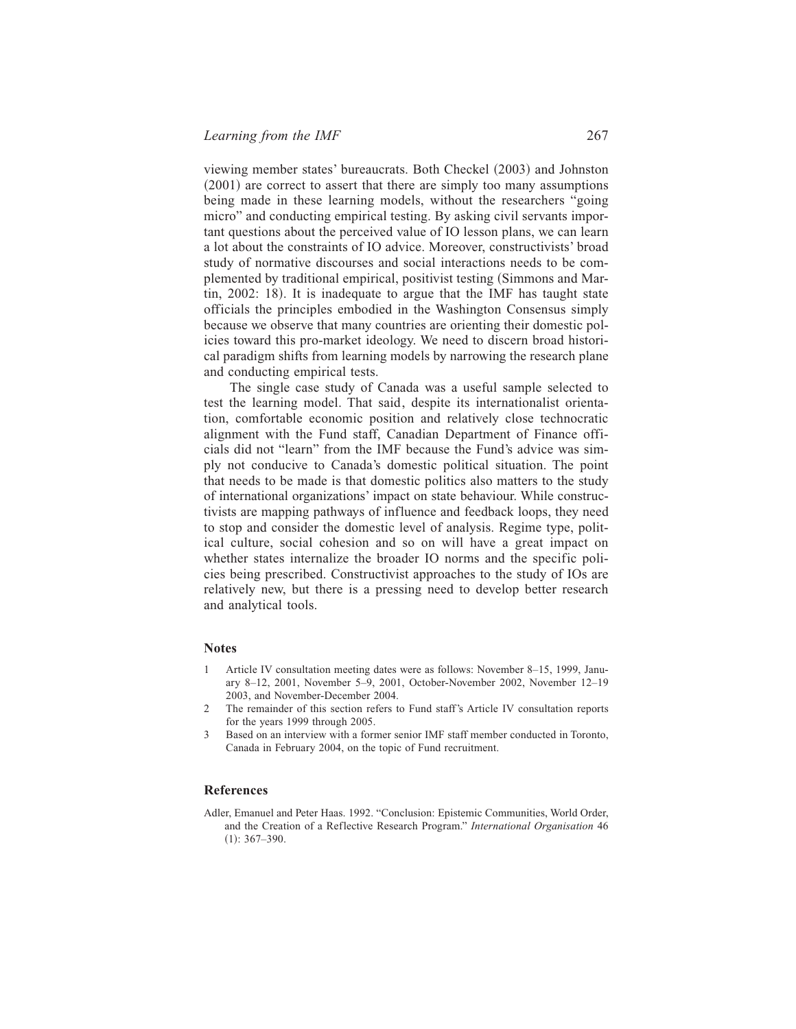viewing member states' bureaucrats. Both Checkel (2003) and Johnston  $(2001)$  are correct to assert that there are simply too many assumptions being made in these learning models, without the researchers "going micro" and conducting empirical testing. By asking civil servants important questions about the perceived value of IO lesson plans, we can learn a lot about the constraints of IO advice. Moreover, constructivists' broad study of normative discourses and social interactions needs to be complemented by traditional empirical, positivist testing (Simmons and Martin, 2002: 18). It is inadequate to argue that the IMF has taught state officials the principles embodied in the Washington Consensus simply because we observe that many countries are orienting their domestic policies toward this pro-market ideology. We need to discern broad historical paradigm shifts from learning models by narrowing the research plane and conducting empirical tests.

The single case study of Canada was a useful sample selected to test the learning model. That said, despite its internationalist orientation, comfortable economic position and relatively close technocratic alignment with the Fund staff, Canadian Department of Finance officials did not "learn" from the IMF because the Fund's advice was simply not conducive to Canada's domestic political situation. The point that needs to be made is that domestic politics also matters to the study of international organizations' impact on state behaviour. While constructivists are mapping pathways of influence and feedback loops, they need to stop and consider the domestic level of analysis. Regime type, political culture, social cohesion and so on will have a great impact on whether states internalize the broader IO norms and the specific policies being prescribed. Constructivist approaches to the study of IOs are relatively new, but there is a pressing need to develop better research and analytical tools.

#### **Notes**

- 1 Article IV consultation meeting dates were as follows: November 8–15, 1999, January 8–12, 2001, November 5–9, 2001, October-November 2002, November 12–19 2003, and November-December 2004.
- 2 The remainder of this section refers to Fund staff 's Article IV consultation reports for the years 1999 through 2005.
- 3 Based on an interview with a former senior IMF staff member conducted in Toronto, Canada in February 2004, on the topic of Fund recruitment.

#### **References**

Adler, Emanuel and Peter Haas. 1992. "Conclusion: Epistemic Communities, World Order, and the Creation of a Reflective Research Program." *International Organisation* 46  $(1): 367-390.$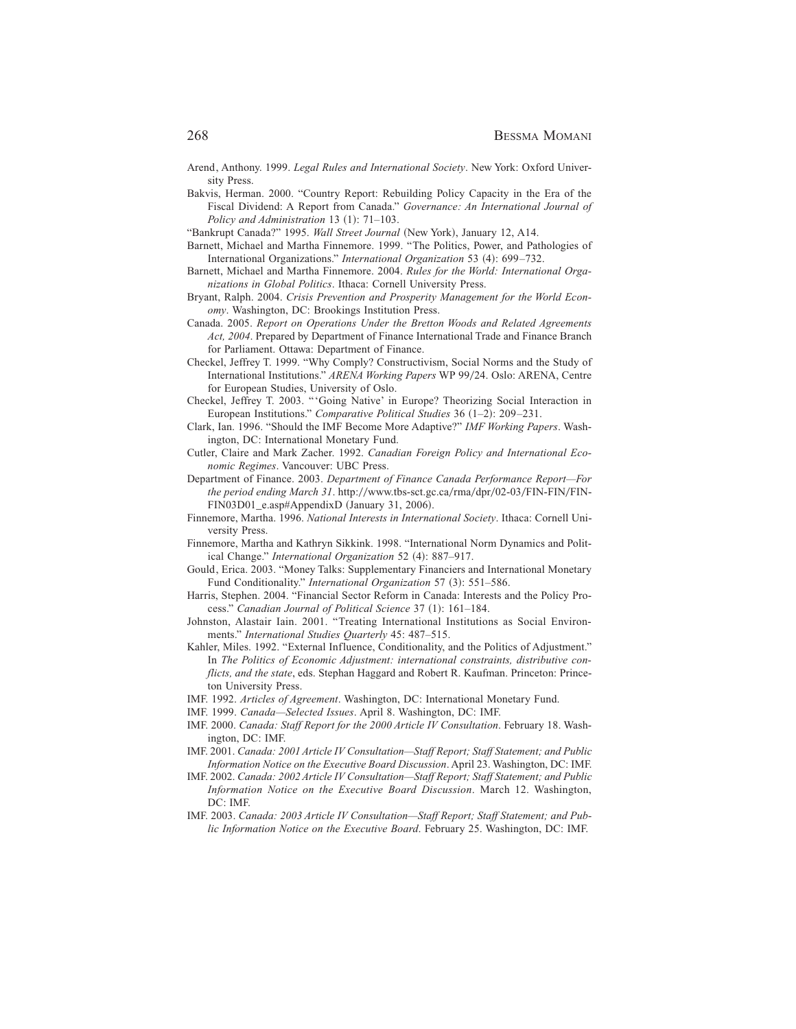- Arend, Anthony. 1999. *Legal Rules and International Society*. New York: Oxford University Press.
- Bakvis, Herman. 2000. "Country Report: Rebuilding Policy Capacity in the Era of the Fiscal Dividend: A Report from Canada." *Governance: An International Journal of Policy and Administration* 13 (1): 71–103.
- "Bankrupt Canada?" 1995. *Wall Street Journal* (New York), January 12, A14.

Barnett, Michael and Martha Finnemore. 1999. "The Politics, Power, and Pathologies of International Organizations." *International Organization* 53 (4): 699-732.

- Barnett, Michael and Martha Finnemore. 2004. *Rules for the World: International Organizations in Global Politics*. Ithaca: Cornell University Press.
- Bryant, Ralph. 2004. *Crisis Prevention and Prosperity Management for the World Economy*. Washington, DC: Brookings Institution Press.
- Canada. 2005. *Report on Operations Under the Bretton Woods and Related Agreements Act, 2004*. Prepared by Department of Finance International Trade and Finance Branch for Parliament. Ottawa: Department of Finance.
- Checkel, Jeffrey T. 1999. "Why Comply? Constructivism, Social Norms and the Study of International Institutions." *ARENA Working Papers* WP 99/24. Oslo: ARENA, Centre for European Studies, University of Oslo.
- Checkel, Jeffrey T. 2003. " 'Going Native' in Europe? Theorizing Social Interaction in European Institutions." *Comparative Political Studies* 36 (1-2): 209-231.
- Clark, Ian. 1996. "Should the IMF Become More Adaptive?" *IMF Working Papers*. Washington, DC: International Monetary Fund.
- Cutler, Claire and Mark Zacher. 1992. *Canadian Foreign Policy and International Economic Regimes*. Vancouver: UBC Press.
- Department of Finance. 2003. *Department of Finance Canada Performance Report—For the period ending March 31.* http://www.tbs-sct.gc.ca/rma/dpr/02-03/FIN-FIN/FIN-FIN03D01\_e.asp#AppendixD (January 31, 2006).
- Finnemore, Martha. 1996. *National Interests in International Society*. Ithaca: Cornell University Press.
- Finnemore, Martha and Kathryn Sikkink. 1998. "International Norm Dynamics and Political Change." *International Organization* 52 (4): 887–917.
- Gould, Erica. 2003. "Money Talks: Supplementary Financiers and International Monetary Fund Conditionality." *International Organization* 57 (3): 551–586.
- Harris, Stephen. 2004. "Financial Sector Reform in Canada: Interests and the Policy Process." *Canadian Journal of Political Science* 37 (1): 161–184.
- Johnston, Alastair Iain. 2001. "Treating International Institutions as Social Environments." *International Studies Quarterly* 45: 487–515.
- Kahler, Miles. 1992. "External Influence, Conditionality, and the Politics of Adjustment." In *The Politics of Economic Adjustment: international constraints, distributive conflicts, and the state*, eds. Stephan Haggard and Robert R. Kaufman. Princeton: Princeton University Press.
- IMF. 1992. *Articles of Agreement*. Washington, DC: International Monetary Fund.
- IMF. 1999. *Canada—Selected Issues*. April 8. Washington, DC: IMF.
- IMF. 2000. *Canada: Staff Report for the 2000 Article IV Consultation*. February 18. Washington, DC: IMF.
- IMF. 2001. *Canada: 2001 Article IV Consultation—Staff Report; Staff Statement; and Public Information Notice on the Executive Board Discussion*. April 23. Washington, DC: IMF.
- IMF. 2002. *Canada: 2002 Article IV Consultation—Staff Report; Staff Statement; and Public Information Notice on the Executive Board Discussion*. March 12. Washington, DC: IMF.
- IMF. 2003. *Canada: 2003 Article IV Consultation—Staff Report; Staff Statement; and Public Information Notice on the Executive Board*. February 25. Washington, DC: IMF.